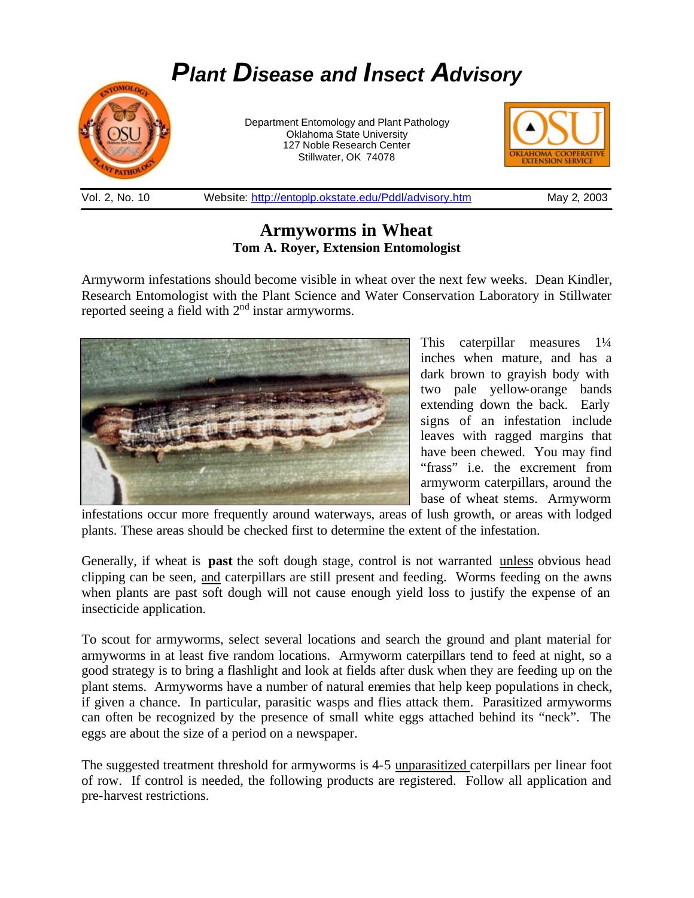# *Plant Disease and Insect Advisory* Department Entomology and Plant Pathology Oklahoma State University 127 Noble Research Center Stillwater, OK 74078

Vol. 2, No. 10 Website: http://entoplp.okstate.edu/Pddl/advisory.htm May 2, 2003

## **Armyworms in Wheat Tom A. Royer, Extension Entomologist**

Armyworm infestations should become visible in wheat over the next few weeks. Dean Kindler, Research Entomologist with the Plant Science and Water Conservation Laboratory in Stillwater reported seeing a field with 2<sup>nd</sup> instar armyworms.



This caterpillar measures 1¼ inches when mature, and has a dark brown to grayish body with two pale yellow-orange bands extending down the back. Early signs of an infestation include leaves with ragged margins that have been chewed. You may find "frass" i.e. the excrement from armyworm caterpillars, around the base of wheat stems. Armyworm

infestations occur more frequently around waterways, areas of lush growth, or areas with lodged plants. These areas should be checked first to determine the extent of the infestation.

Generally, if wheat is **past** the soft dough stage, control is not warranted unless obvious head clipping can be seen, and caterpillars are still present and feeding. Worms feeding on the awns when plants are past soft dough will not cause enough yield loss to justify the expense of an insecticide application.

To scout for armyworms, select several locations and search the ground and plant material for armyworms in at least five random locations. Armyworm caterpillars tend to feed at night, so a good strategy is to bring a flashlight and look at fields after dusk when they are feeding up on the plant stems. Armyworms have a number of natural enemies that help keep populations in check, if given a chance. In particular, parasitic wasps and flies attack them. Parasitized armyworms can often be recognized by the presence of small white eggs attached behind its "neck". The eggs are about the size of a period on a newspaper.

The suggested treatment threshold for armyworms is 4-5 unparasitized caterpillars per linear foot of row. If control is needed, the following products are registered. Follow all application and pre-harvest restrictions.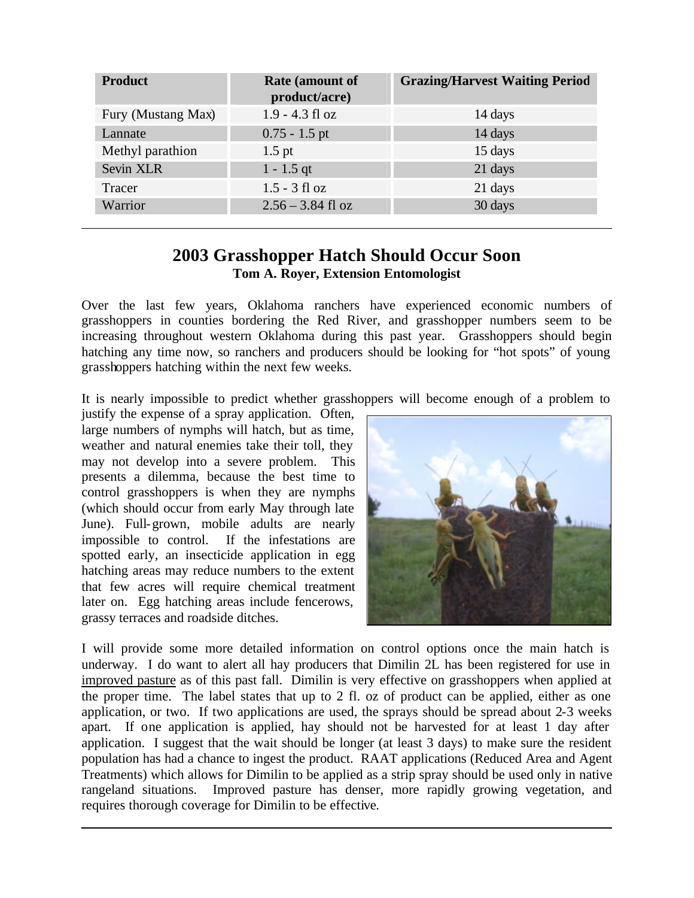| <b>Product</b>     | <b>Rate (amount of</b><br>product/acre) | <b>Grazing/Harvest Waiting Period</b> |
|--------------------|-----------------------------------------|---------------------------------------|
| Fury (Mustang Max) | $1.9 - 4.3$ fl oz                       | 14 days                               |
| Lannate            | $0.75 - 1.5$ pt                         | 14 days                               |
| Methyl parathion   | $1.5$ pt                                | 15 days                               |
| Sevin XLR          | $1 - 1.5$ qt                            | 21 days                               |
| Tracer             | $1.5 - 3$ fl oz                         | 21 days                               |
| Warrior            | $2.56 - 3.84$ fl oz                     | 30 days                               |

# **2003 Grasshopper Hatch Should Occur Soon Tom A. Royer, Extension Entomologist**

Over the last few years, Oklahoma ranchers have experienced economic numbers of grasshoppers in counties bordering the Red River, and grasshopper numbers seem to be increasing throughout western Oklahoma during this past year. Grasshoppers should begin hatching any time now, so ranchers and producers should be looking for "hot spots" of young grasshoppers hatching within the next few weeks.

It is nearly impossible to predict whether grasshoppers will become enough of a problem to

justify the expense of a spray application. Often, large numbers of nymphs will hatch, but as time, weather and natural enemies take their toll, they may not develop into a severe problem. This presents a dilemma, because the best time to control grasshoppers is when they are nymphs (which should occur from early May through late June). Full-grown, mobile adults are nearly impossible to control. If the infestations are spotted early, an insecticide application in egg hatching areas may reduce numbers to the extent that few acres will require chemical treatment later on. Egg hatching areas include fencerows, grassy terraces and roadside ditches.



I will provide some more detailed information on control options once the main hatch is underway. I do want to alert all hay producers that Dimilin 2L has been registered for use in improved pasture as of this past fall. Dimilin is very effective on grasshoppers when applied at the proper time. The label states that up to 2 fl. oz of product can be applied, either as one application, or two. If two applications are used, the sprays should be spread about 2-3 weeks apart. If one application is applied, hay should not be harvested for at least 1 day after application. I suggest that the wait should be longer (at least 3 days) to make sure the resident population has had a chance to ingest the product. RAAT applications (Reduced Area and Agent Treatments) which allows for Dimilin to be applied as a strip spray should be used only in native rangeland situations. Improved pasture has denser, more rapidly growing vegetation, and requires thorough coverage for Dimilin to be effective.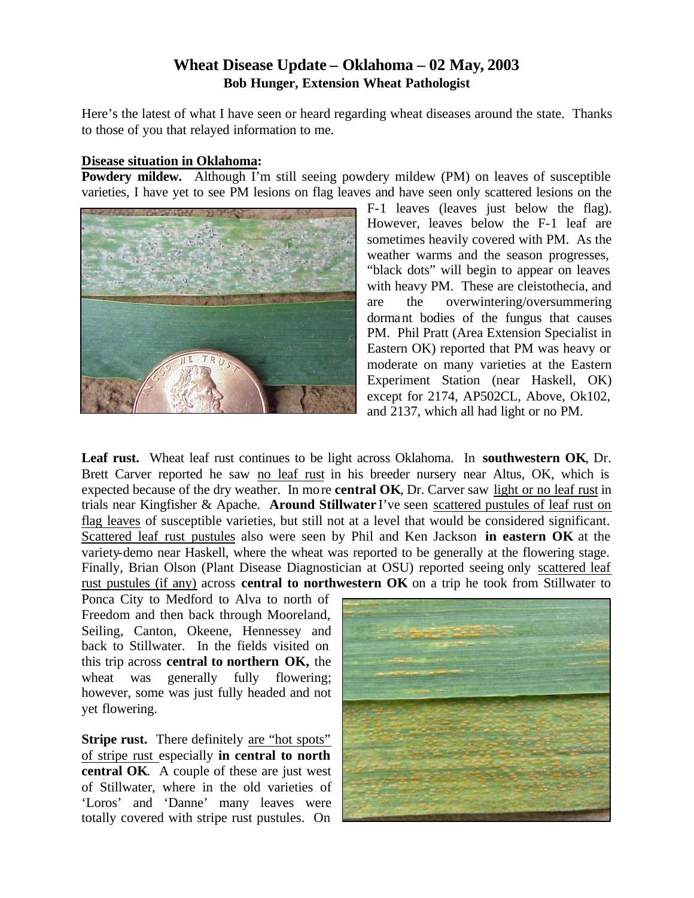### **Wheat Disease Update – Oklahoma – 02 May, 2003 Bob Hunger, Extension Wheat Pathologist**

Here's the latest of what I have seen or heard regarding wheat diseases around the state. Thanks to those of you that relayed information to me.

#### **Disease situation in Oklahoma:**

**Powdery mildew.** Although I'm still seeing powdery mildew (PM) on leaves of susceptible varieties, I have yet to see PM lesions on flag leaves and have seen only scattered lesions on the



F-1 leaves (leaves just below the flag). However, leaves below the F-1 leaf are sometimes heavily covered with PM. As the weather warms and the season progresses, "black dots" will begin to appear on leaves with heavy PM. These are cleistothecia, and are the overwintering/oversummering dormant bodies of the fungus that causes PM. Phil Pratt (Area Extension Specialist in Eastern OK) reported that PM was heavy or moderate on many varieties at the Eastern Experiment Station (near Haskell, OK) except for 2174, AP502CL, Above, Ok102, and 2137, which all had light or no PM.

**Leaf rust.** Wheat leaf rust continues to be light across Oklahoma. In **southwestern OK**, Dr. Brett Carver reported he saw no leaf rust in his breeder nursery near Altus, OK, which is expected because of the dry weather. In more **central OK**, Dr. Carver saw light or no leaf rust in trials near Kingfisher & Apache. **Around Stillwater** I've seen scattered pustules of leaf rust on flag leaves of susceptible varieties, but still not at a level that would be considered significant. Scattered leaf rust pustules also were seen by Phil and Ken Jackson **in eastern OK** at the variety-demo near Haskell, where the wheat was reported to be generally at the flowering stage. Finally, Brian Olson (Plant Disease Diagnostician at OSU) reported seeing only scattered leaf rust pustules (if any) across **central to northwestern OK** on a trip he took from Stillwater to

Ponca City to Medford to Alva to north of Freedom and then back through Mooreland, Seiling, Canton, Okeene, Hennessey and back to Stillwater. In the fields visited on this trip across **central to northern OK,** the wheat was generally fully flowering; however, some was just fully headed and not yet flowering.

**Stripe rust.** There definitely are "hot spots" of stripe rust especially **in central to north central OK**. A couple of these are just west of Stillwater, where in the old varieties of 'Loros' and 'Danne' many leaves were totally covered with stripe rust pustules. On

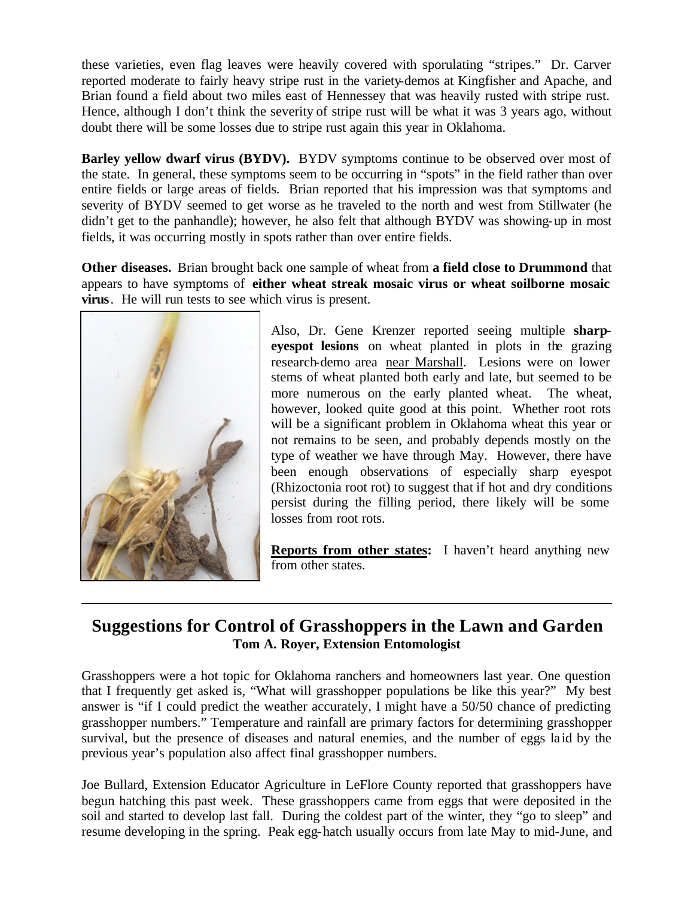these varieties, even flag leaves were heavily covered with sporulating "stripes." Dr. Carver reported moderate to fairly heavy stripe rust in the variety-demos at Kingfisher and Apache, and Brian found a field about two miles east of Hennessey that was heavily rusted with stripe rust. Hence, although I don't think the severity of stripe rust will be what it was 3 years ago, without doubt there will be some losses due to stripe rust again this year in Oklahoma.

**Barley yellow dwarf virus (BYDV).** BYDV symptoms continue to be observed over most of the state. In general, these symptoms seem to be occurring in "spots" in the field rather than over entire fields or large areas of fields. Brian reported that his impression was that symptoms and severity of BYDV seemed to get worse as he traveled to the north and west from Stillwater (he didn't get to the panhandle); however, he also felt that although BYDV was showing-up in most fields, it was occurring mostly in spots rather than over entire fields.

**Other diseases.** Brian brought back one sample of wheat from **a field close to Drummond** that appears to have symptoms of **either wheat streak mosaic virus or wheat soilborne mosaic virus**. He will run tests to see which virus is present.



Also, Dr. Gene Krenzer reported seeing multiple **sharpeyespot lesions** on wheat planted in plots in the grazing research-demo area near Marshall. Lesions were on lower stems of wheat planted both early and late, but seemed to be more numerous on the early planted wheat. The wheat, however, looked quite good at this point. Whether root rots will be a significant problem in Oklahoma wheat this year or not remains to be seen, and probably depends mostly on the type of weather we have through May. However, there have been enough observations of especially sharp eyespot (Rhizoctonia root rot) to suggest that if hot and dry conditions persist during the filling period, there likely will be some losses from root rots.

**Reports from other states:** I haven't heard anything new from other states.

# **Suggestions for Control of Grasshoppers in the Lawn and Garden Tom A. Royer, Extension Entomologist**

Grasshoppers were a hot topic for Oklahoma ranchers and homeowners last year. One question that I frequently get asked is, "What will grasshopper populations be like this year?" My best answer is "if I could predict the weather accurately, I might have a 50/50 chance of predicting grasshopper numbers." Temperature and rainfall are primary factors for determining grasshopper survival, but the presence of diseases and natural enemies, and the number of eggs laid by the previous year's population also affect final grasshopper numbers.

Joe Bullard, Extension Educator Agriculture in LeFlore County reported that grasshoppers have begun hatching this past week. These grasshoppers came from eggs that were deposited in the soil and started to develop last fall. During the coldest part of the winter, they "go to sleep" and resume developing in the spring. Peak egg-hatch usually occurs from late May to mid-June, and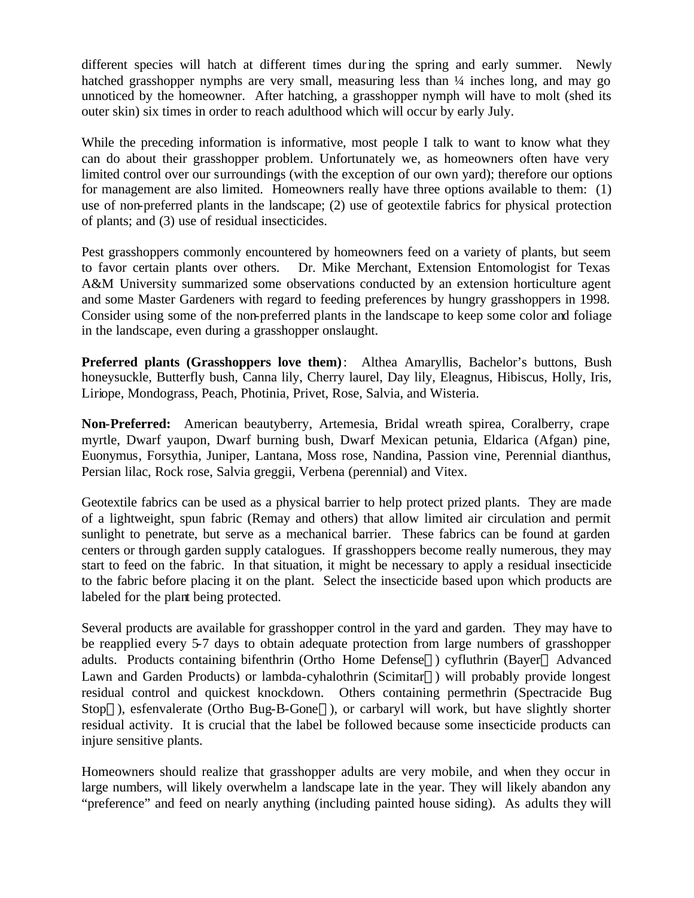different species will hatch at different times during the spring and early summer. Newly hatched grasshopper nymphs are very small, measuring less than  $\frac{1}{4}$  inches long, and may go unnoticed by the homeowner. After hatching, a grasshopper nymph will have to molt (shed its outer skin) six times in order to reach adulthood which will occur by early July.

While the preceding information is informative, most people I talk to want to know what they can do about their grasshopper problem. Unfortunately we, as homeowners often have very limited control over our surroundings (with the exception of our own yard); therefore our options for management are also limited. Homeowners really have three options available to them: (1) use of non-preferred plants in the landscape; (2) use of geotextile fabrics for physical protection of plants; and (3) use of residual insecticides.

Pest grasshoppers commonly encountered by homeowners feed on a variety of plants, but seem to favor certain plants over others. Dr. Mike Merchant, Extension Entomologist for Texas A&M University summarized some observations conducted by an extension horticulture agent and some Master Gardeners with regard to feeding preferences by hungry grasshoppers in 1998. Consider using some of the non-preferred plants in the landscape to keep some color and foliage in the landscape, even during a grasshopper onslaught.

**Preferred plants (Grasshoppers love them):** Althea Amaryllis, Bachelor's buttons, Bush honeysuckle, Butterfly bush, Canna lily, Cherry laurel, Day lily, Eleagnus, Hibiscus, Holly, Iris, Liriope, Mondograss, Peach, Photinia, Privet, Rose, Salvia, and Wisteria.

**Non-Preferred:** American beautyberry, Artemesia, Bridal wreath spirea, Coralberry, crape myrtle, Dwarf yaupon, Dwarf burning bush, Dwarf Mexican petunia, Eldarica (Afgan) pine, Euonymus, Forsythia, Juniper, Lantana, Moss rose, Nandina, Passion vine, Perennial dianthus, Persian lilac, Rock rose, Salvia greggii, Verbena (perennial) and Vitex.

Geotextile fabrics can be used as a physical barrier to help protect prized plants. They are made of a lightweight, spun fabric (Remay and others) that allow limited air circulation and permit sunlight to penetrate, but serve as a mechanical barrier. These fabrics can be found at garden centers or through garden supply catalogues. If grasshoppers become really numerous, they may start to feed on the fabric. In that situation, it might be necessary to apply a residual insecticide to the fabric before placing it on the plant. Select the insecticide based upon which products are labeled for the plant being protected.

Several products are available for grasshopper control in the yard and garden. They may have to be reapplied every 5-7 days to obtain adequate protection from large numbers of grasshopper adults. Products containing bifenthrin (Ortho Home Defense®) cyfluthrin (Bayer® Advanced Lawn and Garden Products) or lambda-cyhalothrin (Scimitar®) will probably provide longest residual control and quickest knockdown. Others containing permethrin (Spectracide Bug Stop<sup>®</sup>), esfenvalerate (Ortho Bug-B-Gone<sup>®</sup>), or carbaryl will work, but have slightly shorter residual activity. It is crucial that the label be followed because some insecticide products can injure sensitive plants.

Homeowners should realize that grasshopper adults are very mobile, and when they occur in large numbers, will likely overwhelm a landscape late in the year. They will likely abandon any "preference" and feed on nearly anything (including painted house siding). As adults they will